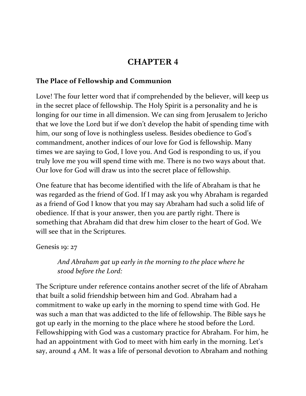# **CHAPTER 4**

### **The Place of Fellowship and Communion**

Love! The four letter word that if comprehended by the believer, will keep us in the secret place of fellowship. The Holy Spirit is a personality and he is longing for our time in all dimension. We can sing from Jerusalem to Jericho that we love the Lord but if we don't develop the habit of spending time with him, our song of love is nothingless useless. Besides obedience to God's commandment, another indices of our love for God is fellowship. Many times we are saying to God, I love you. And God is responding to us, if you truly love me you will spend time with me. There is no two ways about that. Our love for God will draw us into the secret place of fellowship.

One feature that has become identified with the life of Abraham is that he was regarded as the friend of God. If I may ask you why Abraham is regarded as a friend of God I know that you may say Abraham had such a solid life of obedience. If that is your answer, then you are partly right. There is something that Abraham did that drew him closer to the heart of God. We will see that in the Scriptures.

Genesis 19: 27

*And Abraham gat up early in the morning to the place where he stood before the Lord:*

The Scripture under reference contains another secret of the life of Abraham that built a solid friendship between him and God. Abraham had a commitment to wake up early in the morning to spend time with God. He was such a man that was addicted to the life of fellowship. The Bible says he got up early in the morning to the place where he stood before the Lord. Fellowshipping with God was a customary practice for Abraham. For him, he had an appointment with God to meet with him early in the morning. Let's say, around 4 AM. It was a life of personal devotion to Abraham and nothing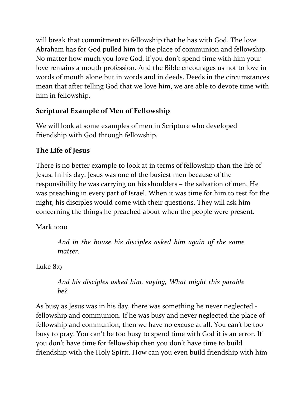will break that commitment to fellowship that he has with God. The love Abraham has for God pulled him to the place of communion and fellowship. No matter how much you love God, if you don't spend time with him your love remains a mouth profession. And the Bible encourages us not to love in words of mouth alone but in words and in deeds. Deeds in the circumstances mean that after telling God that we love him, we are able to devote time with him in fellowship.

# **Scriptural Example of Men of Fellowship**

We will look at some examples of men in Scripture who developed friendship with God through fellowship.

# **The Life of Jesus**

There is no better example to look at in terms of fellowship than the life of Jesus. In his day, Jesus was one of the busiest men because of the responsibility he was carrying on his shoulders – the salvation of men. He was preaching in every part of Israel. When it was time for him to rest for the night, his disciples would come with their questions. They will ask him concerning the things he preached about when the people were present.

Mark 10:10

*And in the house his disciples asked him again of the same matter.*

Luke 8:9

*And his disciples asked him, saying, What might this parable be?*

As busy as Jesus was in his day, there was something he never neglected fellowship and communion. If he was busy and never neglected the place of fellowship and communion, then we have no excuse at all. You can't be too busy to pray. You can't be too busy to spend time with God it is an error. If you don't have time for fellowship then you don't have time to build friendship with the Holy Spirit. How can you even build friendship with him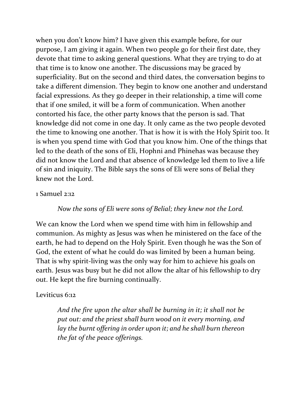when you don't know him? I have given this example before, for our purpose, I am giving it again. When two people go for their first date, they devote that time to asking general questions. What they are trying to do at that time is to know one another. The discussions may be graced by superficiality. But on the second and third dates, the conversation begins to take a different dimension. They begin to know one another and understand facial expressions. As they go deeper in their relationship, a time will come that if one smiled, it will be a form of communication. When another contorted his face, the other party knows that the person is sad. That knowledge did not come in one day. It only came as the two people devoted the time to knowing one another. That is how it is with the Holy Spirit too. It is when you spend time with God that you know him. One of the things that led to the death of the sons of Eli, Hophni and Phinehas was because they did not know the Lord and that absence of knowledge led them to live a life of sin and iniquity. The Bible says the sons of Eli were sons of Belial they knew not the Lord.

#### 1 Samuel 2:12

### *Now the sons of Eli were sons of Belial; they knew not the Lord.*

We can know the Lord when we spend time with him in fellowship and communion. As mighty as Jesus was when he ministered on the face of the earth, he had to depend on the Holy Spirit. Even though he was the Son of God, the extent of what he could do was limited by been a human being. That is why spirit-living was the only way for him to achieve his goals on earth. Jesus was busy but he did not allow the altar of his fellowship to dry out. He kept the fire burning continually.

### Leviticus 6:12

*And the fire upon the altar shall be burning in it; it shall not be put out: and the priest shall burn wood on it every morning, and lay the burnt offering in order upon it; and he shall burn thereon the fat of the peace offerings.*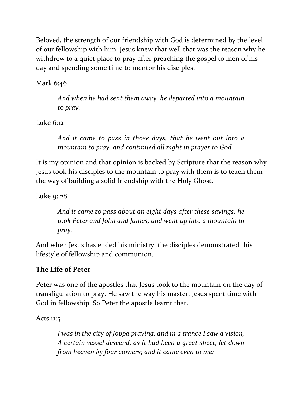Beloved, the strength of our friendship with God is determined by the level of our fellowship with him. Jesus knew that well that was the reason why he withdrew to a quiet place to pray after preaching the gospel to men of his day and spending some time to mentor his disciples.

Mark 6:46

*And when he had sent them away, he departed into a mountain to pray.*

Luke 6:12

*And it came to pass in those days, that he went out into a mountain to pray, and continued all night in prayer to God.*

It is my opinion and that opinion is backed by Scripture that the reason why Jesus took his disciples to the mountain to pray with them is to teach them the way of building a solid friendship with the Holy Ghost.

Luke 9: 28

*And it came to pass about an eight days after these sayings, he took Peter and John and James, and went up into a mountain to pray.*

And when Jesus has ended his ministry, the disciples demonstrated this lifestyle of fellowship and communion.

# **The Life of Peter**

Peter was one of the apostles that Jesus took to the mountain on the day of transfiguration to pray. He saw the way his master, Jesus spent time with God in fellowship. So Peter the apostle learnt that.

Acts 11:5

*I was in the city of Joppa praying: and in a trance I saw a vision, A certain vessel descend, as it had been a great sheet, let down from heaven by four corners; and it came even to me:*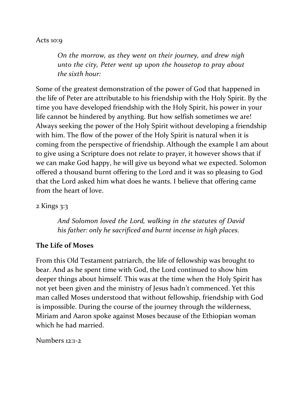#### Acts 10:9

*On the morrow, as they went on their journey, and drew nigh unto the city, Peter went up upon the housetop to pray about the sixth hour:*

Some of the greatest demonstration of the power of God that happened in the life of Peter are attributable to his friendship with the Holy Spirit. By the time you have developed friendship with the Holy Spirit, his power in your life cannot be hindered by anything. But how selfish sometimes we are! Always seeking the power of the Holy Spirit without developing a friendship with him. The flow of the power of the Holy Spirit is natural when it is coming from the perspective of friendship. Although the example I am about to give using a Scripture does not relate to prayer, it however shows that if we can make God happy, he will give us beyond what we expected. Solomon offered a thousand burnt offering to the Lord and it was so pleasing to God that the Lord asked him what does he wants. I believe that offering came from the heart of love.

#### 2 Kings 3:3

*And Solomon loved the Lord, walking in the statutes of David his father: only he sacrificed and burnt incense in high places.*

#### **The Life of Moses**

From this Old Testament patriarch, the life of fellowship was brought to bear. And as he spent time with God, the Lord continued to show him deeper things about himself. This was at the time when the Holy Spirit has not yet been given and the ministry of Jesus hadn't commenced. Yet this man called Moses understood that without fellowship, friendship with God is impossible. During the course of the journey through the wilderness, Miriam and Aaron spoke against Moses because of the Ethiopian woman which he had married.

Numbers 12:1-2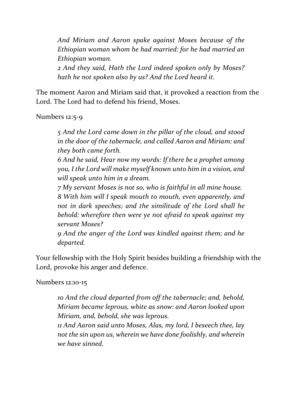*And Miriam and Aaron spake against Moses because of the Ethiopian woman whom he had married: for he had married an Ethiopian woman.*

*2 And they said, Hath the Lord indeed spoken only by Moses? hath he not spoken also by us? And the Lord heard it.*

The moment Aaron and Miriam said that, it provoked a reaction from the Lord. The Lord had to defend his friend, Moses.

Numbers 12:5-9

*5 And the Lord came down in the pillar of the cloud, and stood in the door of the tabernacle, and called Aaron and Miriam: and they both came forth.*

*6 And he said, Hear now my words: If there be a prophet among you, I the Lord will make myself known unto him in a vision, and will speak unto him in a dream.*

*7 My servant Moses is not so, who is faithful in all mine house. 8 With him will I speak mouth to mouth, even apparently, and not in dark speeches; and the similitude of the Lord shall he behold: wherefore then were ye not afraid to speak against my servant Moses?*

*9 And the anger of the Lord was kindled against them; and he departed.*

Your fellowship with the Holy Spirit besides building a friendship with the Lord, provoke his anger and defence.

Numbers 12:10-15

*10 And the cloud departed from off the tabernacle; and, behold, Miriam became leprous, white as snow: and Aaron looked upon Miriam, and, behold, she was leprous.*

*11 And Aaron said unto Moses, Alas, my lord, I beseech thee, lay not the sin upon us, wherein we have done foolishly, and wherein we have sinned.*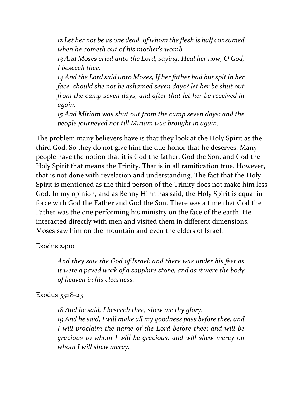*12 Let her not be as one dead, of whom the flesh is half consumed when he cometh out of his mother's womb.*

*13 And Moses cried unto the Lord, saying, Heal her now, O God, I beseech thee.*

*14 And the Lord said unto Moses, If her father had but spit in her face, should she not be ashamed seven days? let her be shut out from the camp seven days, and after that let her be received in again.*

*15 And Miriam was shut out from the camp seven days: and the people journeyed not till Miriam was brought in again.*

The problem many believers have is that they look at the Holy Spirit as the third God. So they do not give him the due honor that he deserves. Many people have the notion that it is God the father, God the Son, and God the Holy Spirit that means the Trinity. That is in all ramification true. However, that is not done with revelation and understanding. The fact that the Holy Spirit is mentioned as the third person of the Trinity does not make him less God. In my opinion, and as Benny Hinn has said, the Holy Spirit is equal in force with God the Father and God the Son. There was a time that God the Father was the one performing his ministry on the face of the earth. He interacted directly with men and visited them in different dimensions. Moses saw him on the mountain and even the elders of Israel.

Exodus 24:10

*And they saw the God of Israel: and there was under his feet as it were a paved work of a sapphire stone, and as it were the body of heaven in his clearness.*

### Exodus 33:18-23

*18 And he said, I beseech thee, shew me thy glory. 19 And he said, I will make all my goodness pass before thee, and I will proclaim the name of the Lord before thee; and will be gracious to whom I will be gracious, and will shew mercy on whom I will shew mercy.*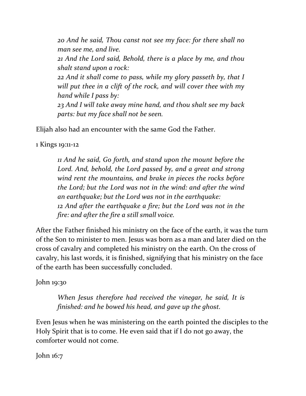*20 And he said, Thou canst not see my face: for there shall no man see me, and live.*

*21 And the Lord said, Behold, there is a place by me, and thou shalt stand upon a rock:*

*22 And it shall come to pass, while my glory passeth by, that I will put thee in a clift of the rock, and will cover thee with my hand while I pass by:*

*23 And I will take away mine hand, and thou shalt see my back parts: but my face shall not be seen.*

Elijah also had an encounter with the same God the Father.

1 Kings 19:11-12

*11 And he said, Go forth, and stand upon the mount before the Lord. And, behold, the Lord passed by, and a great and strong wind rent the mountains, and brake in pieces the rocks before the Lord; but the Lord was not in the wind: and after the wind an earthquake; but the Lord was not in the earthquake: 12 And after the earthquake a fire; but the Lord was not in the fire: and after the fire a still small voice.*

After the Father finished his ministry on the face of the earth, it was the turn of the Son to minister to men. Jesus was born as a man and later died on the cross of cavalry and completed his ministry on the earth. On the cross of cavalry, his last words, it is finished, signifying that his ministry on the face of the earth has been successfully concluded.

John 19:30

*When Jesus therefore had received the vinegar, he said, It is finished: and he bowed his head, and gave up the ghost.*

Even Jesus when he was ministering on the earth pointed the disciples to the Holy Spirit that is to come. He even said that if I do not go away, the comforter would not come.

John 16:7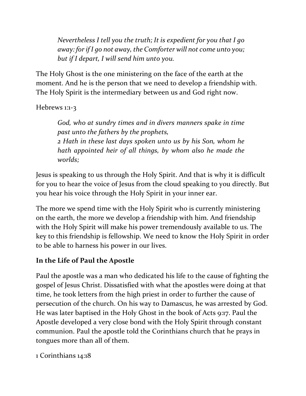*Nevertheless I tell you the truth; It is expedient for you that I go away: for if I go not away, the Comforter will not come unto you; but if I depart, I will send him unto you.*

The Holy Ghost is the one ministering on the face of the earth at the moment. And he is the person that we need to develop a friendship with. The Holy Spirit is the intermediary between us and God right now.

## Hebrews 1:1-3

*God, who at sundry times and in divers manners spake in time past unto the fathers by the prophets, 2 Hath in these last days spoken unto us by his Son, whom he hath appointed heir of all things, by whom also he made the worlds;*

Jesus is speaking to us through the Holy Spirit. And that is why it is difficult for you to hear the voice of Jesus from the cloud speaking to you directly. But you hear his voice through the Holy Spirit in your inner ear.

The more we spend time with the Holy Spirit who is currently ministering on the earth, the more we develop a friendship with him. And friendship with the Holy Spirit will make his power tremendously available to us. The key to this friendship is fellowship. We need to know the Holy Spirit in order to be able to harness his power in our lives.

# **In the Life of Paul the Apostle**

Paul the apostle was a man who dedicated his life to the cause of fighting the gospel of Jesus Christ. Dissatisfied with what the apostles were doing at that time, he took letters from the high priest in order to further the cause of persecution of the church. On his way to Damascus, he was arrested by God. He was later baptised in the Holy Ghost in the book of Acts 9:17. Paul the Apostle developed a very close bond with the Holy Spirit through constant communion. Paul the apostle told the Corinthians church that he prays in tongues more than all of them.

1 Corinthians 14:18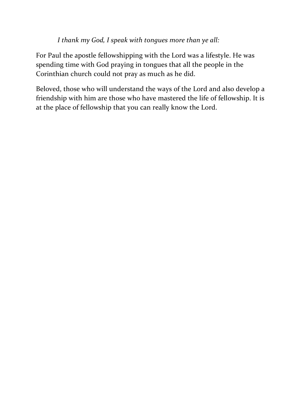*I thank my God, I speak with tongues more than ye all:*

For Paul the apostle fellowshipping with the Lord was a lifestyle. He was spending time with God praying in tongues that all the people in the Corinthian church could not pray as much as he did.

Beloved, those who will understand the ways of the Lord and also develop a friendship with him are those who have mastered the life of fellowship. It is at the place of fellowship that you can really know the Lord.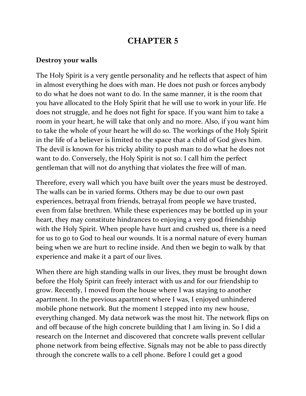# **CHAPTER 5**

#### **Destroy your walls**

The Holy Spirit is a very gentle personality and he reflects that aspect of him in almost everything he does with man. He does not push or forces anybody to do what he does not want to do. In the same manner, it is the room that you have allocated to the Holy Spirit that he will use to work in your life. He does not struggle, and he does not fight for space. If you want him to take a room in your heart, he will take that only and no more. Also, if you want him to take the whole of your heart he will do so. The workings of the Holy Spirit in the life of a believer is limited to the space that a child of God gives him. The devil is known for his tricky ability to push man to do what he does not want to do. Conversely, the Holy Spirit is not so. I call him the perfect gentleman that will not do anything that violates the free will of man.

Therefore, every wall which you have built over the years must be destroyed. The walls can be in varied forms. Others may be due to our own past experiences, betrayal from friends, betrayal from people we have trusted, even from false brethren. While these experiences may be bottled up in your heart, they may constitute hindrances to enjoying a very good friendship with the Holy Spirit. When people have hurt and crushed us, there is a need for us to go to God to heal our wounds. It is a normal nature of every human being when we are hurt to recline inside. And then we begin to walk by that experience and make it a part of our lives.

When there are high standing walls in our lives, they must be brought down before the Holy Spirit can freely interact with us and for our friendship to grow. Recently, I moved from the house where I was staying to another apartment. In the previous apartment where I was, I enjoyed unhindered mobile phone network. But the moment I stepped into my new house, everything changed. My data network was the most hit. The network flips on and off because of the high concrete building that I am living in. So I did a research on the Internet and discovered that concrete walls prevent cellular phone network from being effective. Signals may not be able to pass directly through the concrete walls to a cell phone. Before I could get a good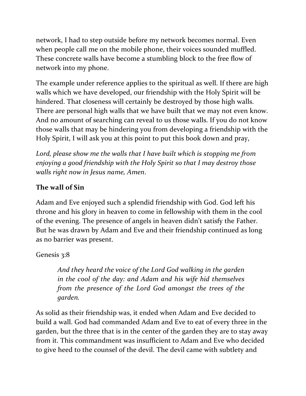network, I had to step outside before my network becomes normal. Even when people call me on the mobile phone, their voices sounded muffled. These concrete walls have become a stumbling block to the free flow of network into my phone.

The example under reference applies to the spiritual as well. If there are high walls which we have developed, our friendship with the Holy Spirit will be hindered. That closeness will certainly be destroyed by those high walls. There are personal high walls that we have built that we may not even know. And no amount of searching can reveal to us those walls. If you do not know those walls that may be hindering you from developing a friendship with the Holy Spirit, I will ask you at this point to put this book down and pray,

*Lord, please show me the walls that I have built which is stopping me from enjoying a good friendship with the Holy Spirit so that I may destroy those walls right now in Jesus name, Amen*.

## **The wall of Sin**

Adam and Eve enjoyed such a splendid friendship with God. God left his throne and his glory in heaven to come in fellowship with them in the cool of the evening. The presence of angels in heaven didn't satisfy the Father. But he was drawn by Adam and Eve and their friendship continued as long as no barrier was present.

## Genesis 3:8

*And they heard the voice of the Lord God walking in the garden in the cool of the day: and Adam and his wife hid themselves from the presence of the Lord God amongst the trees of the garden.*

As solid as their friendship was, it ended when Adam and Eve decided to build a wall. God had commanded Adam and Eve to eat of every three in the garden, but the three that is in the center of the garden they are to stay away from it. This commandment was insufficient to Adam and Eve who decided to give heed to the counsel of the devil. The devil came with subtlety and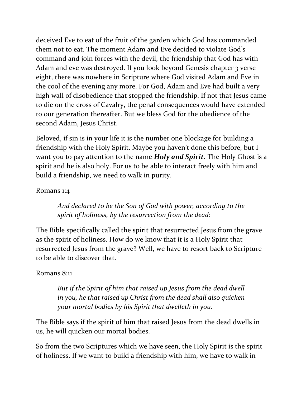deceived Eve to eat of the fruit of the garden which God has commanded them not to eat. The moment Adam and Eve decided to violate God's command and join forces with the devil, the friendship that God has with Adam and eve was destroyed. If you look beyond Genesis chapter 3 verse eight, there was nowhere in Scripture where God visited Adam and Eve in the cool of the evening any more. For God, Adam and Eve had built a very high wall of disobedience that stopped the friendship. If not that Jesus came to die on the cross of Cavalry, the penal consequences would have extended to our generation thereafter. But we bless God for the obedience of the second Adam, Jesus Christ.

Beloved, if sin is in your life it is the number one blockage for building a friendship with the Holy Spirit. Maybe you haven't done this before, but I want you to pay attention to the name *Holy and Spirit.* The Holy Ghost is a spirit and he is also holy. For us to be able to interact freely with him and build a friendship, we need to walk in purity.

### Romans 1:4

*And declared to be the Son of God with power, according to the spirit of holiness, by the resurrection from the dead:*

The Bible specifically called the spirit that resurrected Jesus from the grave as the spirit of holiness. How do we know that it is a Holy Spirit that resurrected Jesus from the grave? Well, we have to resort back to Scripture to be able to discover that.

## Romans 8:11

*But if the Spirit of him that raised up Jesus from the dead dwell in you, he that raised up Christ from the dead shall also quicken your mortal bodies by his Spirit that dwelleth in you.*

The Bible says if the spirit of him that raised Jesus from the dead dwells in us, he will quicken our mortal bodies.

So from the two Scriptures which we have seen, the Holy Spirit is the spirit of holiness. If we want to build a friendship with him, we have to walk in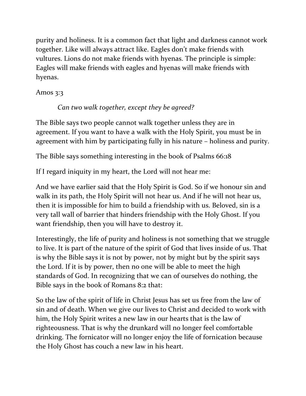purity and holiness. It is a common fact that light and darkness cannot work together. Like will always attract like. Eagles don't make friends with vultures. Lions do not make friends with hyenas. The principle is simple: Eagles will make friends with eagles and hyenas will make friends with hyenas.

## Amos 3:3

# *Can two walk together, except they be agreed?*

The Bible says two people cannot walk together unless they are in agreement. If you want to have a walk with the Holy Spirit, you must be in agreement with him by participating fully in his nature – holiness and purity.

The Bible says something interesting in the book of Psalms 66:18

If I regard iniquity in my heart, the Lord will not hear me:

And we have earlier said that the Holy Spirit is God. So if we honour sin and walk in its path, the Holy Spirit will not hear us. And if he will not hear us, then it is impossible for him to build a friendship with us. Beloved, sin is a very tall wall of barrier that hinders friendship with the Holy Ghost. If you want friendship, then you will have to destroy it.

Interestingly, the life of purity and holiness is not something that we struggle to live. It is part of the nature of the spirit of God that lives inside of us. That is why the Bible says it is not by power, not by might but by the spirit says the Lord. If it is by power, then no one will be able to meet the high standards of God. In recognizing that we can of ourselves do nothing, the Bible says in the book of Romans 8:2 that:

So the law of the spirit of life in Christ Jesus has set us free from the law of sin and of death. When we give our lives to Christ and decided to work with him, the Holy Spirit writes a new law in our hearts that is the law of righteousness. That is why the drunkard will no longer feel comfortable drinking. The fornicator will no longer enjoy the life of fornication because the Holy Ghost has couch a new law in his heart.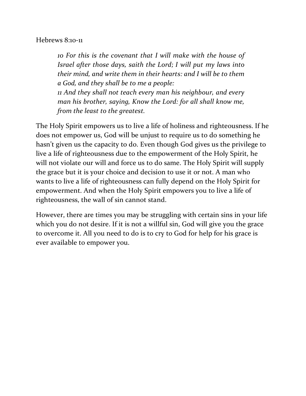#### Hebrews 8:10-11

*10 For this is the covenant that I will make with the house of Israel after those days, saith the Lord; I will put my laws into their mind, and write them in their hearts: and I will be to them a God, and they shall be to me a people: 11 And they shall not teach every man his neighbour, and every man his brother, saying, Know the Lord: for all shall know me,* 

*from the least to the greatest.*

The Holy Spirit empowers us to live a life of holiness and righteousness. If he does not empower us, God will be unjust to require us to do something he hasn't given us the capacity to do. Even though God gives us the privilege to live a life of righteousness due to the empowerment of the Holy Spirit, he will not violate our will and force us to do same. The Holy Spirit will supply the grace but it is your choice and decision to use it or not. A man who wants to live a life of righteousness can fully depend on the Holy Spirit for empowerment. And when the Holy Spirit empowers you to live a life of righteousness, the wall of sin cannot stand.

However, there are times you may be struggling with certain sins in your life which you do not desire. If it is not a willful sin, God will give you the grace to overcome it. All you need to do is to cry to God for help for his grace is ever available to empower you.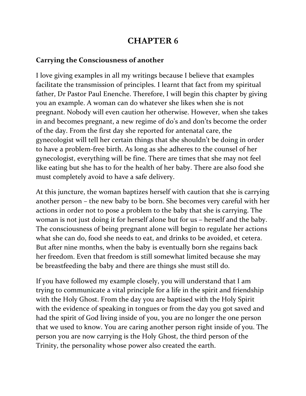# **CHAPTER 6**

### **Carrying the Consciousness of another**

I love giving examples in all my writings because I believe that examples facilitate the transmission of principles. I learnt that fact from my spiritual father, Dr Pastor Paul Enenche. Therefore, I will begin this chapter by giving you an example. A woman can do whatever she likes when she is not pregnant. Nobody will even caution her otherwise. However, when she takes in and becomes pregnant, a new regime of do's and don'ts become the order of the day. From the first day she reported for antenatal care, the gynecologist will tell her certain things that she shouldn't be doing in order to have a problem-free birth. As long as she adheres to the counsel of her gynecologist, everything will be fine. There are times that she may not feel like eating but she has to for the health of her baby. There are also food she must completely avoid to have a safe delivery.

At this juncture, the woman baptizes herself with caution that she is carrying another person – the new baby to be born. She becomes very careful with her actions in order not to pose a problem to the baby that she is carrying. The woman is not just doing it for herself alone but for us – herself and the baby. The consciousness of being pregnant alone will begin to regulate her actions what she can do, food she needs to eat, and drinks to be avoided, et cetera. But after nine months, when the baby is eventually born she regains back her freedom. Even that freedom is still somewhat limited because she may be breastfeeding the baby and there are things she must still do.

If you have followed my example closely, you will understand that I am trying to communicate a vital principle for a life in the spirit and friendship with the Holy Ghost. From the day you are baptised with the Holy Spirit with the evidence of speaking in tongues or from the day you got saved and had the spirit of God living inside of you, you are no longer the one person that we used to know. You are caring another person right inside of you. The person you are now carrying is the Holy Ghost, the third person of the Trinity, the personality whose power also created the earth.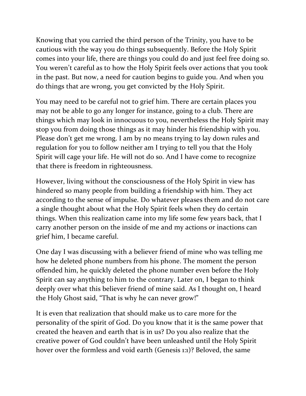Knowing that you carried the third person of the Trinity, you have to be cautious with the way you do things subsequently. Before the Holy Spirit comes into your life, there are things you could do and just feel free doing so. You weren't careful as to how the Holy Spirit feels over actions that you took in the past. But now, a need for caution begins to guide you. And when you do things that are wrong, you get convicted by the Holy Spirit.

You may need to be careful not to grief him. There are certain places you may not be able to go any longer for instance, going to a club. There are things which may look in innocuous to you, nevertheless the Holy Spirit may stop you from doing those things as it may hinder his friendship with you. Please don't get me wrong. I am by no means trying to lay down rules and regulation for you to follow neither am I trying to tell you that the Holy Spirit will cage your life. He will not do so. And I have come to recognize that there is freedom in righteousness.

However, living without the consciousness of the Holy Spirit in view has hindered so many people from building a friendship with him. They act according to the sense of impulse. Do whatever pleases them and do not care a single thought about what the Holy Spirit feels when they do certain things. When this realization came into my life some few years back, that I carry another person on the inside of me and my actions or inactions can grief him, I became careful.

One day I was discussing with a believer friend of mine who was telling me how he deleted phone numbers from his phone. The moment the person offended him, he quickly deleted the phone number even before the Holy Spirit can say anything to him to the contrary. Later on, I began to think deeply over what this believer friend of mine said. As I thought on, I heard the Holy Ghost said, "That is why he can never grow!"

It is even that realization that should make us to care more for the personality of the spirit of God. Do you know that it is the same power that created the heaven and earth that is in us? Do you also realize that the creative power of God couldn't have been unleashed until the Holy Spirit hover over the formless and void earth (Genesis 1:1)? Beloved, the same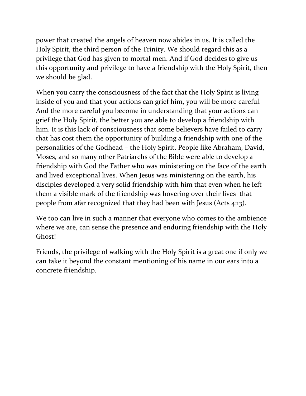power that created the angels of heaven now abides in us. It is called the Holy Spirit, the third person of the Trinity. We should regard this as a privilege that God has given to mortal men. And if God decides to give us this opportunity and privilege to have a friendship with the Holy Spirit, then we should be glad.

When you carry the consciousness of the fact that the Holy Spirit is living inside of you and that your actions can grief him, you will be more careful. And the more careful you become in understanding that your actions can grief the Holy Spirit, the better you are able to develop a friendship with him. It is this lack of consciousness that some believers have failed to carry that has cost them the opportunity of building a friendship with one of the personalities of the Godhead – the Holy Spirit. People like Abraham, David, Moses, and so many other Patriarchs of the Bible were able to develop a friendship with God the Father who was ministering on the face of the earth and lived exceptional lives. When Jesus was ministering on the earth, his disciples developed a very solid friendship with him that even when he left them a visible mark of the friendship was hovering over their lives that people from afar recognized that they had been with Jesus (Acts 4:13).

We too can live in such a manner that everyone who comes to the ambience where we are, can sense the presence and enduring friendship with the Holy Ghost!

Friends, the privilege of walking with the Holy Spirit is a great one if only we can take it beyond the constant mentioning of his name in our ears into a concrete friendship.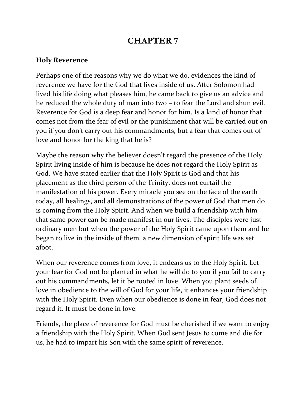# **CHAPTER 7**

### **Holy Reverence**

Perhaps one of the reasons why we do what we do, evidences the kind of reverence we have for the God that lives inside of us. After Solomon had lived his life doing what pleases him, he came back to give us an advice and he reduced the whole duty of man into two – to fear the Lord and shun evil. Reverence for God is a deep fear and honor for him. Is a kind of honor that comes not from the fear of evil or the punishment that will be carried out on you if you don't carry out his commandments, but a fear that comes out of love and honor for the king that he is?

Maybe the reason why the believer doesn't regard the presence of the Holy Spirit living inside of him is because he does not regard the Holy Spirit as God. We have stated earlier that the Holy Spirit is God and that his placement as the third person of the Trinity, does not curtail the manifestation of his power. Every miracle you see on the face of the earth today, all healings, and all demonstrations of the power of God that men do is coming from the Holy Spirit. And when we build a friendship with him that same power can be made manifest in our lives. The disciples were just ordinary men but when the power of the Holy Spirit came upon them and he began to live in the inside of them, a new dimension of spirit life was set afoot.

When our reverence comes from love, it endears us to the Holy Spirit. Let your fear for God not be planted in what he will do to you if you fail to carry out his commandments, let it be rooted in love. When you plant seeds of love in obedience to the will of God for your life, it enhances your friendship with the Holy Spirit. Even when our obedience is done in fear, God does not regard it. It must be done in love.

Friends, the place of reverence for God must be cherished if we want to enjoy a friendship with the Holy Spirit. When God sent Jesus to come and die for us, he had to impart his Son with the same spirit of reverence.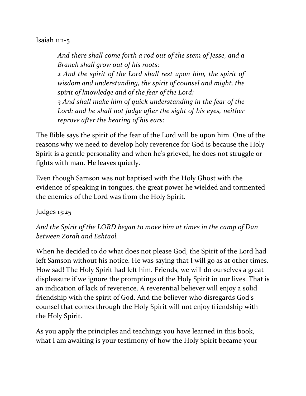#### Isaiah 11:1-5

*And there shall come forth a rod out of the stem of Jesse, and a Branch shall grow out of his roots: 2 And the spirit of the Lord shall rest upon him, the spirit of wisdom and understanding, the spirit of counsel and might, the spirit of knowledge and of the fear of the Lord; 3 And shall make him of quick understanding in the fear of the Lord: and he shall not judge after the sight of his eyes, neither reprove after the hearing of his ears:*

The Bible says the spirit of the fear of the Lord will be upon him. One of the reasons why we need to develop holy reverence for God is because the Holy Spirit is a gentle personality and when he's grieved, he does not struggle or fights with man. He leaves quietly.

Even though Samson was not baptised with the Holy Ghost with the evidence of speaking in tongues, the great power he wielded and tormented the enemies of the Lord was from the Holy Spirit.

Judges 13:25

*And the Spirit of the LORD began to move him at times in the camp of Dan between Zorah and Eshtaol.* 

When he decided to do what does not please God, the Spirit of the Lord had left Samson without his notice. He was saying that I will go as at other times. How sad! The Holy Spirit had left him. Friends, we will do ourselves a great displeasure if we ignore the promptings of the Holy Spirit in our lives. That is an indication of lack of reverence. A reverential believer will enjoy a solid friendship with the spirit of God. And the believer who disregards God's counsel that comes through the Holy Spirit will not enjoy friendship with the Holy Spirit.

As you apply the principles and teachings you have learned in this book, what I am awaiting is your testimony of how the Holy Spirit became your